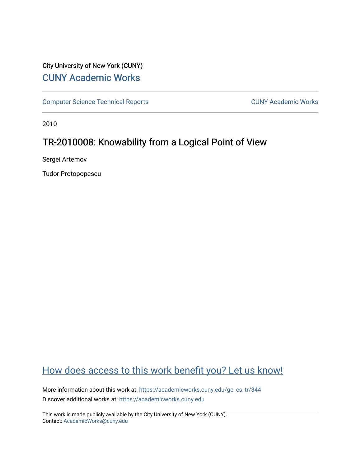# City University of New York (CUNY) [CUNY Academic Works](https://academicworks.cuny.edu/)

[Computer Science Technical Reports](https://academicworks.cuny.edu/gc_cs_tr) **CUNY Academic Works** CUNY Academic Works

2010

# TR-2010008: Knowability from a Logical Point of View

Sergei Artemov

Tudor Protopopescu

# [How does access to this work benefit you? Let us know!](http://ols.cuny.edu/academicworks/?ref=https://academicworks.cuny.edu/gc_cs_tr/344)

More information about this work at: [https://academicworks.cuny.edu/gc\\_cs\\_tr/344](https://academicworks.cuny.edu/gc_cs_tr/344)  Discover additional works at: [https://academicworks.cuny.edu](https://academicworks.cuny.edu/?)

This work is made publicly available by the City University of New York (CUNY). Contact: [AcademicWorks@cuny.edu](mailto:AcademicWorks@cuny.edu)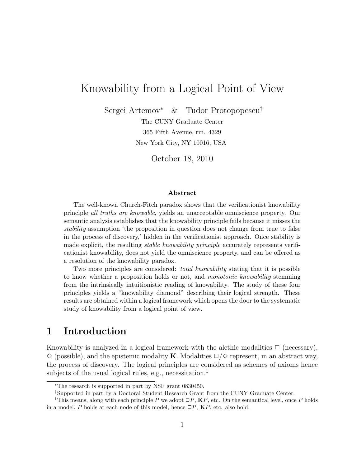# Knowability from a Logical Point of View

Sergei Artemov<sup>∗</sup> & Tudor Protopopescu†

The CUNY Graduate Center 365 Fifth Avenue, rm. 4329 New York City, NY 10016, USA

October 18, 2010

#### Abstract

The well-known Church-Fitch paradox shows that the verificationist knowability principle all truths are knowable, yields an unacceptable omniscience property. Our semantic analysis establishes that the knowability principle fails because it misses the stability assumption 'the proposition in question does not change from true to false in the process of discovery,' hidden in the verificationist approach. Once stability is made explicit, the resulting *stable knowability principle* accurately represents verificationist knowability, does not yield the omniscience property, and can be offered as a resolution of the knowability paradox.

Two more principles are considered: *total knowability* stating that it is possible to know whether a proposition holds or not, and monotonic knowability stemming from the intrinsically intuitionistic reading of knowability. The study of these four principles yields a "knowability diamond" describing their logical strength. These results are obtained within a logical framework which opens the door to the systematic study of knowability from a logical point of view.

## 1 Introduction

Knowability is analyzed in a logical framework with the alethic modalities  $\Box$  (necessary),  $\Diamond$  (possible), and the epistemic modality **K**. Modalities  $\Box/\Diamond$  represent, in an abstract way, the process of discovery. The logical principles are considered as schemes of axioms hence subjects of the usual logical rules, e.g., necessitation.<sup>1</sup>

<sup>∗</sup>The research is supported in part by NSF grant 0830450.

<sup>†</sup>Supported in part by a Doctoral Student Research Grant from the CUNY Graduate Center.

<sup>&</sup>lt;sup>1</sup>This means, along with each principle P we adopt  $\Box P$ , **K**P, etc. On the semantical level, once P holds in a model, P holds at each node of this model, hence  $\Box P$ ,  $\mathbf{K}P$ , etc. also hold.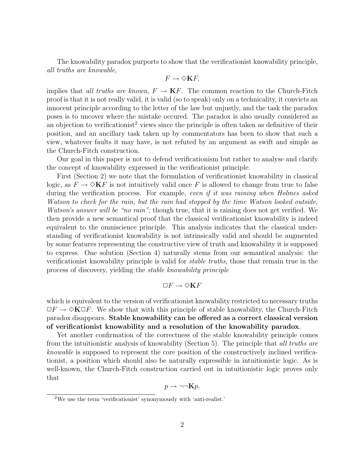The knowability paradox purports to show that the verificationist knowability principle, all truths are knowable,

$$
F\to \Diamond {\bf K} F,
$$

implies that all truths are known,  $F \to \mathbf{K} F$ . The common reaction to the Church-Fitch proof is that it is not really valid, it is valid (so to speak) only on a technicality, it convicts an innocent principle according to the letter of the law but unjustly, and the task the paradox poses is to uncover where the mistake occured. The paradox is also usually considered as an objection to verificationist<sup>2</sup> views since the principle is often taken as definitive of their position, and an ancillary task taken up by commentators has been to show that such a view, whatever faults it may have, is not refuted by an argument as swift and simple as the Church-Fitch construction.

Our goal in this paper is not to defend verificationism but rather to analyse and clarify the concept of knowability expressed in the verificationist principle.

First (Section 2) we note that the formulation of verificationist knowability in classical logic, as  $F \to \Diamond K$  is not intuitively valid once F is allowed to change from true to false during the verification process. For example, even if it was raining when Holmes asked Watson to check for the rain, but the rain had stopped by the time Watson looked outside, Watson's answer will be "no rain"; though true, that it is raining does not get verified. We then provide a new semantical proof that the classical verificationist knowability is indeed equivalent to the omniscience principle. This analysis indicates that the classical understanding of verificationist knowability is not intrinsically valid and should be augmented by some features representing the constructive view of truth and knowability it is supposed to express. One solution (Section 4) naturally stems from our semantical analysis: the verificationist knowability principle is valid for stable truths, those that remain true in the process of discovery, yielding the stable knowability principle

$$
\Box F \to \Diamond \mathbf{K} F
$$

which is equivalent to the version of verificationist knowability restricted to necessary truths  $\Box F \rightarrow \Diamond \mathbf{K} \Box F$ . We show that with this principle of stable knowability, the Church-Fitch paradox disappears. Stable knowability can be offered as a correct classical version of verificationist knowability and a resolution of the knowability paradox.

Yet another confirmation of the correctness of the stable knowability principle comes from the intuitionistic analysis of knowability (Section 5). The principle that *all truths are* knowable is supposed to represent the core position of the constructively inclined verificationist, a position which should also be naturally expressible in intuitionistic logic. As is well-known, the Church-Fitch construction carried out in intuitionistic logic proves only that

$$
p \to \neg\neg \mathbf{K} p,
$$

<sup>2</sup>We use the term 'verificationist' synonymously with 'anti-realist.'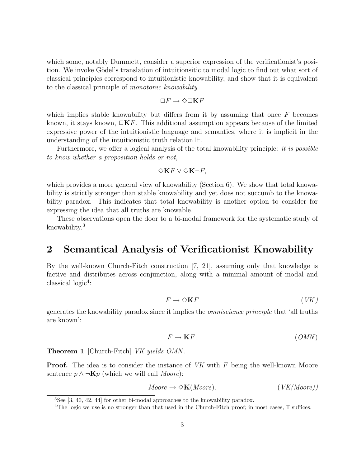which some, notably Dummett, consider a superior expression of the verificationist's position. We invoke Gödel's translation of intuitionsitic to modal logic to find out what sort of classical principles correspond to intuitionistic knowability, and show that it is equivalent to the classical principle of monotonic knowability

$$
\Box F \to \Diamond \Box {\bf K} F
$$

which implies stable knowability but differs from it by assuming that once  $F$  becomes known, it stays known,  $\Box$ **K**F. This additional assumption appears because of the limited expressive power of the intuitionistic language and semantics, where it is implicit in the understanding of the intuitionistic truth relation  $\mathbb{H}$ .

Furthermore, we offer a logical analysis of the total knowability principle: *it is possible* to know whether a proposition holds or not,

### $\diamond$ K $F$  ∨  $\diamond$ K $\neg F$ ,

which provides a more general view of knowability (Section 6). We show that total knowability is strictly stronger than stable knowability and yet does not succumb to the knowability paradox. This indicates that total knowability is another option to consider for expressing the idea that all truths are knowable.

These observations open the door to a bi-modal framework for the systematic study of knowability.<sup>3</sup>

## 2 Semantical Analysis of Verificationist Knowability

By the well-known Church-Fitch construction [7, 21], assuming only that knowledge is factive and distributes across conjunction, along with a minimal amount of modal and classical logic<sup>4</sup>:

$$
F \to \diamondsuit \mathbf{K} F \tag{VK}
$$

generates the knowability paradox since it implies the omniscience principle that 'all truths are known':

$$
F \to \mathbf{K}F. \tag{OMN}
$$

**Theorem 1** [Church-Fitch] VK yields OMN.

**Proof.** The idea is to consider the instance of  $VK$  with  $F$  being the well-known Moore sentence  $p \wedge \neg \mathbf{K} p$  (which we will call *Moore*):

$$
Moore \to \diamond \mathbf{K}(Moore). \qquad (VK(Moore))
$$

<sup>3</sup>See [3, 40, 42, 44] for other bi-modal approaches to the knowability paradox.

<sup>&</sup>lt;sup>4</sup>The logic we use is no stronger than that used in the Church-Fitch proof; in most cases, T suffices.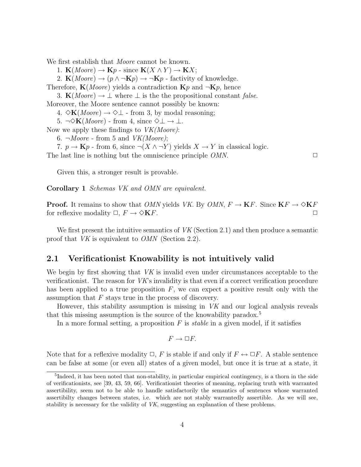We first establish that *Moore* cannot be known.

1.  $\mathbf{K}(Moore) \to \mathbf{K}p$  - since  $\mathbf{K}(X \wedge Y) \to \mathbf{K}X;$ 

2.  $\mathbf{K}(Moore) \rightarrow (p \land \neg \mathbf{K}p) \rightarrow \neg \mathbf{K}p$  - factivity of knowledge.

Therefore,  $\mathbf{K}(Moore)$  yields a contradiction  $\mathbf{K}p$  and  $\neg \mathbf{K}p$ , hence

3. K(Moore)  $\rightarrow \perp$  where  $\perp$  is the the propositional constant false.

Moreover, the Moore sentence cannot possibly be known:

4.  $\Diamond$ **K**(*Moore*)  $\rightarrow \Diamond \bot$  - from 3, by modal reasoning;

5.  $\neg \Diamond K(Moore)$  - from 4, since  $\Diamond \bot \rightarrow \bot$ .

Now we apply these findings to  $VK(Moore)$ :

6.  $\neg Moore$  - from 5 and  $VK(Moore);$ 

7.  $p \to \mathbf{K} p$  - from 6, since  $\neg(X \land \neg Y)$  yields  $X \to Y$  in classical logic.

The last line is nothing but the omniscience principle  $OMN$ .  $\Box$ 

Given this, a stronger result is provable.

Corollary 1 Schemas VK and OMN are equivalent.

**Proof.** It remains to show that *OMN* yields *VK*. By *OMN*,  $F \to \mathbf{K}F$ . Since  $\mathbf{K}F \to \Diamond \mathbf{K}F$ for reflexive modality  $\Box$ ,  $F \to \Diamond \mathbf{K} F$ .

We first present the intuitive semantics of  $VK$  (Section 2.1) and then produce a semantic proof that VK is equivalent to OMN (Section 2.2).

### 2.1 Verificationist Knowability is not intuitively valid

We begin by first showing that VK is invalid even under circumstances acceptable to the verificationist. The reason for  $VK$ 's invalidity is that even if a correct verification procedure has been applied to a true proposition  $F$ , we can expect a positive result only with the assumption that  $F$  stays true in the process of discovery.

However, this stability assumption is missing in VK and our logical analysis reveals that this missing assumption is the source of the knowability paradox.<sup>5</sup>

In a more formal setting, a proposition  $F$  is *stable* in a given model, if it satisfies

$$
F\to \Box F.
$$

Note that for a reflexive modality  $\Box$ , F is stable if and only if  $F \leftrightarrow \Box F$ . A stable sentence can be false at some (or even all) states of a given model, but once it is true at a state, it

<sup>&</sup>lt;sup>5</sup>Indeed, it has been noted that non-stability, in particular empirical contingency, is a thorn in the side of verificationists, see [39, 43, 59, 66]. Verificationist theories of meaning, replacing truth with warranted assertibility, seem not to be able to handle satisfactorily the semantics of sentences whose warranted assertibilty changes between states, i.e. which are not stably warrantedly assertible. As we will see, stability is necessary for the validity of VK, suggesting an explanation of these problems.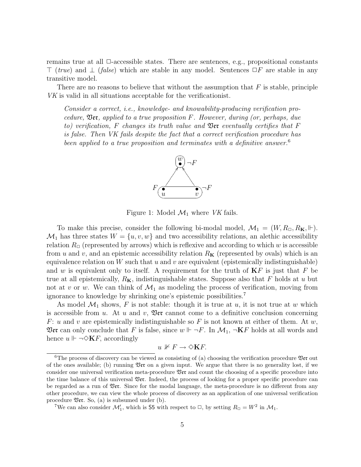remains true at all  $\Box$ -accessible states. There are sentences, e.g., propositional constants  $\top$  (true) and  $\bot$  (false) which are stable in any model. Sentences  $\Box F$  are stable in any transitive model.

There are no reasons to believe that without the assumption that  $F$  is stable, principle VK is valid in all situations acceptable for the verificationist.

Consider a correct, i.e., knowledge- and knowability-producing verification procedure,  $\mathfrak{Der}$ , applied to a true proposition F. However, during (or, perhaps, due to) verification, F changes its truth value and  $\mathfrak{Per}$  eventually certifies that F is false. Then VK fails despite the fact that a correct verification procedure has been applied to a true proposition and terminates with a definitive answer.<sup>6</sup>



Figure 1: Model  $\mathcal{M}_1$  where VK fails.

To make this precise, consider the following bi-modal model,  $\mathcal{M}_1 = (W, R_{\Box}, R_{\mathbf{K}}, \Vdash)$ .  $\mathcal{M}_1$  has three states  $W = \{u, v, w\}$  and two accessibility relations, an alethic accessibility relation  $R_{\Box}$  (represented by arrows) which is reflexive and according to which w is accessible from u and v, and an epistemic accessibility relation  $R<sub>K</sub>$  (represented by ovals) which is an equivalence relation on W such that  $u$  and  $v$  are equivalent (epistemically indistinguishable) and w is equivalent only to itself. A requirement for the truth of  $KF$  is just that F be true at all epistemically,  $R<sub>K</sub>$ , indistinguishable states. Suppose also that F holds at u but not at v or w. We can think of  $\mathcal{M}_1$  as modeling the process of verification, moving from ignorance to knowledge by shrinking one's epistemic possibilities.<sup>7</sup>

As model  $\mathcal{M}_1$  shows, F is not stable: though it is true at u, it is not true at w which is accessible from u. At u and v,  $\mathfrak{Der}$  cannot come to a definitive conclusion concerning F: u and v are epistemically indistinguishable so F is not known at either of them. At w, **Ver** can only conclude that F is false, since  $w \Vdash \neg F$ . In  $\mathcal{M}_1$ ,  $\neg$ **K**F holds at all words and hence  $u \Vdash \neg \Diamond \mathbf{K} F$ , accordingly

$$
u \nVdash F \to \Diamond K F.
$$

<sup>&</sup>lt;sup>6</sup>The process of discovery can be viewed as consisting of (a) choosing the verification procedure  $\mathfrak{Per}$  out of the ones available; (b) running  $\mathfrak{Per}$  on a given input. We argue that there is no generality lost, if we consider one universal verification meta-procedure Ver and count the choosing of a specific procedure into the time balance of this universal  $\mathfrak{Der}$ . Indeed, the process of looking for a proper specific procedure can be regarded as a run of Ver. Since for the modal language, the meta-procedure is no different from any other procedure, we can view the whole process of discovery as an application of one universal verification procedure  $\mathfrak{Per}$ . So, (a) is subsumed under (b).

<sup>&</sup>lt;sup>7</sup>We can also consider  $\mathcal{M}'_1$ , which is **55** with respect to  $\Box$ , by setting  $R_{\Box} = W^2$  in  $\mathcal{M}_1$ .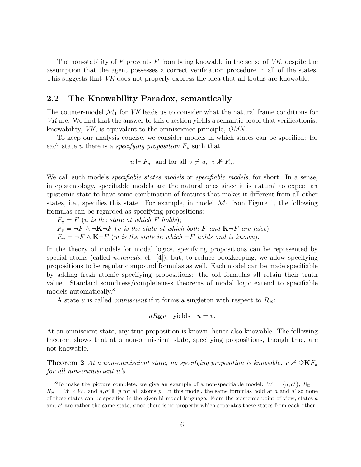The non-stability of  $F$  prevents  $F$  from being knowable in the sense of  $VK$ , despite the assumption that the agent possesses a correct verification procedure in all of the states. This suggests that VK does not properly express the idea that all truths are knowable.

### 2.2 The Knowability Paradox, semantically

The counter-model  $\mathcal{M}_1$  for VK leads us to consider what the natural frame conditions for VK are. We find that the answer to this question yields a semantic proof that verificationist knowability, VK, is equivalent to the omniscience principle, OMN .

To keep our analysis concise, we consider models in which states can be specified: for each state u there is a *specifying proposition*  $F_u$  such that

$$
u \Vdash F_u
$$
 and for all  $v \neq u, v \nvDash F_u$ .

We call such models *specifiable states models* or *specifiable models*, for short. In a sense, in epistemology, specifiable models are the natural ones since it is natural to expect an epistemic state to have some combination of features that makes it different from all other states, i.e., specifies this state. For example, in model  $\mathcal{M}_1$  from Figure 1, the following formulas can be regarded as specifying propositions:

 $F_u = F$  (*u* is the state at which F holds);  $F_v = \neg F \wedge \neg \mathbf{K} \neg F$  (v is the state at which both F and  $\mathbf{K} \neg F$  are false);  $F_w = \neg F \wedge \mathbf{K} \neg F$  (w is the state in which  $\neg F$  holds and is known).

In the theory of models for modal logics, specifying propositions can be represented by special atoms (called *nominals*, cf.  $[4]$ ), but, to reduce bookkeeping, we allow specifying propositions to be regular compound formulas as well. Each model can be made specifiable by adding fresh atomic specifying propositions: the old formulas all retain their truth value. Standard soundness/completeness theorems of modal logic extend to specifiable models automatically.<sup>8</sup>

A state u is called *omniscient* if it forms a singleton with respect to  $R_{\mathbf{K}}$ :

$$
uR_{\mathbf{K}}v \quad \text{yields} \quad u=v.
$$

At an omniscient state, any true proposition is known, hence also knowable. The following theorem shows that at a non-omniscient state, specifying propositions, though true, are not knowable.

**Theorem 2** At a non-omniscient state, no specifying proposition is knowable:  $u \nvDash \Diamond \mathbf{K}F_u$ for all non-onmiscient u's.

<sup>&</sup>lt;sup>8</sup>To make the picture complete, we give an example of a non-specifiable model:  $W = \{a, a'\}, R_{\Box}$  $R_K = W \times W$ , and  $a, a' \Vdash p$  for all atoms p. In this model, the same formulas hold at a and a' so none of these states can be specified in the given bi-modal language. From the epistemic point of view, states  $a$ and  $a'$  are rather the same state, since there is no property which separates these states from each other.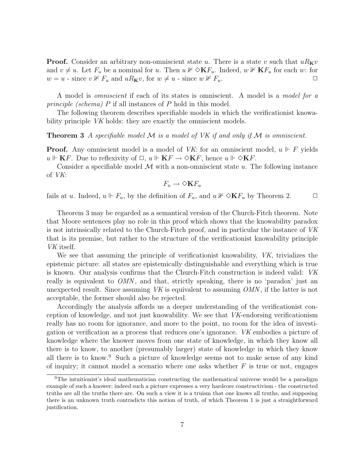**Proof.** Consider an arbitrary non-omniscient state u. There is a state v such that  $uR_Kv$ and  $v \neq u$ . Let  $F_u$  be a nominal for u. Then  $u \not\vdash \Diamond \mathbf{K} F_u$ . Indeed,  $w \not\vdash \mathbf{K} F_u$  for each w: for  $w = u$  - since  $v \nvDash F_u$  and  $uR_Kv$ , for  $w \neq u$  - since  $w \nvDash F_u$ .

A model is omniscient if each of its states is omniscient. A model is a model for a principle (schema) P if all instances of P hold in this model.

The following theorem describes specifiable models in which the verificationist knowability principle *VK* holds: they are exactly the omniscient models.

**Theorem 3** A specifiable model  $M$  is a model of VK if and only if M is omniscient.

**Proof.** Any omniscient model is a model of VK: for an omniscient model,  $u \Vdash F$  yields  $u \Vdash \mathbf{K}F$ . Due to reflexivity of  $\Box$ ,  $u \Vdash \mathbf{K}F \to \Diamond \mathbf{K}F$ , hence  $u \Vdash \Diamond \mathbf{K}F$ .

Consider a specifiable model  $\mathcal M$  with a non-omniscient state  $u$ . The following instance of VK:

$$
F_u \to \Diamond K F_u
$$

fails at u. Indeed,  $u \Vdash F_u$ , by the definition of  $F_u$ , and  $u \nvDash \Diamond \mathbf{K} F_u$  by Theorem 2.  $\Box$ 

Theorem 3 may be regarded as a semantical version of the Church-Fitch theorem. Note that Moore sentences play no role in this proof which shows that the knowability paradox is not intrinsically related to the Church-Fitch proof, and in particular the instance of VK that is its premise, but rather to the structure of the verificationist knowability principle VK itself.

We see that assuming the principle of verificationist knowability, VK, trivializes the epistemic picture: all states are epistemically distinguishable and everything which is true is known. Our analysis confirms that the Church-Fitch construction is indeed valid: VK really is equivalent to *OMN*, and that, strictly speaking, there is no 'paradox' just an unexpected result. Since assuming  $VK$  is equivalent to assuming  $OMN$ , if the latter is not acceptable, the former should also be rejected.

Accordingly the analysis affords us a deeper understanding of the verificationist conception of knowledge, and not just knowability. We see that VK-endorsing verificationism really has no room for ignorance, and more to the point, no room for the idea of investigation or verification as a process that reduces one's ignorance. VK embodies a picture of knowledge where the knower moves from one state of knowledge, in which they know all there is to know, to another (presumably larger) state of knowledge in which they know all there is to know.<sup>9</sup> Such a picture of knowledge seems not to make sense of any kind of inquiry; it cannot model a scenario where one asks whether  $F$  is true or not, engages

<sup>9</sup>The intuitionist's ideal mathematician constructing the mathematical universe would be a paradigm example of such a knower; indeed such a picture expresses a very hardcore constructivism - the constructed truths are all the truths there are. On such a view it is a truism that one knows all truths, and supposing there is an unknown truth contradicts this notion of truth, of which Theorem 1 is just a straightforward justification.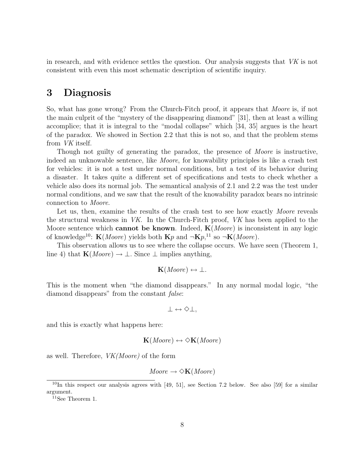in research, and with evidence settles the question. Our analysis suggests that VK is not consistent with even this most schematic description of scientific inquiry.

## 3 Diagnosis

So, what has gone wrong? From the Church-Fitch proof, it appears that *Moore* is, if not the main culprit of the "mystery of the disappearing diamond" [31], then at least a willing accomplice; that it is integral to the "modal collapse" which [34, 35] argues is the heart of the paradox. We showed in Section 2.2 that this is not so, and that the problem stems from VK itself.

Though not guilty of generating the paradox, the presence of *Moore* is instructive, indeed an unknowable sentence, like Moore, for knowability principles is like a crash test for vehicles: it is not a test under normal conditions, but a test of its behavior during a disaster. It takes quite a different set of specifications and tests to check whether a vehicle also does its normal job. The semantical analysis of 2.1 and 2.2 was the test under normal conditions, and we saw that the result of the knowability paradox bears no intrinsic connection to Moore.

Let us, then, examine the results of the crash test to see how exactly *Moore* reveals the structural weakness in VK. In the Church-Fitch proof, VK has been applied to the Moore sentence which **cannot be known**. Indeed,  $\mathbf{K}(Moore)$  is inconsistent in any logic of knowledge<sup>10</sup>:  $\mathbf{K}(Moore)$  yields both  $\mathbf{K}p$  and  $\neg \mathbf{K}p,$ <sup>11</sup> so  $\neg \mathbf{K}(Moore)$ .

This observation allows us to see where the collapse occurs. We have seen (Theorem 1, line 4) that  $\mathbf{K}(Moore) \to \bot$ . Since  $\bot$  implies anything,

$$
\mathbf{K}(Moore) \leftrightarrow \bot.
$$

This is the moment when "the diamond disappears." In any normal modal logic, "the diamond disappears" from the constant *false*:

 $\perp \leftrightarrow \Diamond \perp$ .

and this is exactly what happens here:

$$
\mathbf{K}(Moore) \leftrightarrow \Diamond \mathbf{K}(Moore)
$$

as well. Therefore, VK(Moore) of the form

$$
Moore \rightarrow \diamond K(Moore)
$$

<sup>11</sup>See Theorem 1.

 $10$ In this respect our analysis agrees with [49, 51], see Section 7.2 below. See also [59] for a similar argument.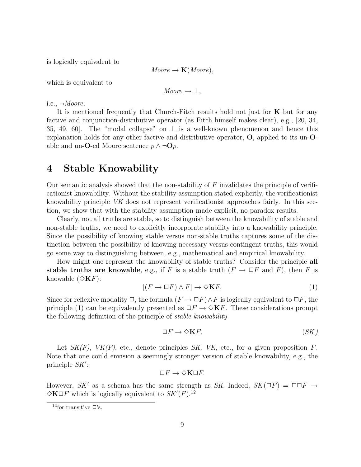is logically equivalent to

 $Moore \rightarrow K(Moore),$ 

which is equivalent to

$$
Moore \rightarrow \bot,
$$

i.e.,  $\neg Moore$ .

It is mentioned frequently that Church-Fitch results hold not just for  $\bf{K}$  but for any factive and conjunction-distributive operator (as Fitch himself makes clear), e.g., [20, 34, 35, 49, 60. The "modal collapse" on  $\perp$  is a well-known phenomenon and hence this explanation holds for any other factive and distributive operator, O, applied to its un-Oable and un-O-ed Moore sentence  $p \wedge \neg \mathbf{O} p$ .

## 4 Stable Knowability

Our semantic analysis showed that the non-stability of  $F$  invalidates the principle of verificationist knowability. Without the stability assumption stated explicitly, the verificationist knowability principle VK does not represent verificationist approaches fairly. In this section, we show that with the stability assumption made explicit, no paradox results.

Clearly, not all truths are stable, so to distinguish between the knowability of stable and non-stable truths, we need to explicitly incorporate stability into a knowability principle. Since the possibility of knowing stable versus non-stable truths captures some of the distinction between the possibility of knowing necessary versus contingent truths, this would go some way to distinguishing between, e.g., mathematical and empirical knowability.

How might one represent the knowability of stable truths? Consider the principle all stable truths are knowable, e.g., if F is a stable truth  $(F \to \Box F \text{ and } F)$ , then F is knowable  $(\Diamond K F)$ :

$$
[(F \to \Box F) \land F] \to \Diamond K F. \tag{1}
$$

Since for reflexive modality  $\Box$ , the formula  $(F \to \Box F) \wedge F$  is logically equivalent to  $\Box F$ , the principle (1) can be equivalently presented as  $\Box F \rightarrow \Diamond K F$ . These considerations prompt the following definition of the principle of stable knowability

$$
\Box F \to \Diamond \mathbf{K} F. \tag{SK}
$$

Let  $SK(F)$ ,  $VK(F)$ , etc., denote principles SK, VK, etc., for a given proposition F. Note that one could envision a seemingly stronger version of stable knowability, e.g., the principle  $SK'$ :

$$
\Box F \to \Diamond \mathbf{K} \Box F.
$$

However, SK' as a schema has the same strength as SK. Indeed,  $SK(\Box F) = \Box \Box F \rightarrow$  $\Diamond K \Box F$  which is logically equivalent to  $SK'(F).^{12}$ 

<sup>&</sup>lt;sup>12</sup>for transitive  $\square$ 's.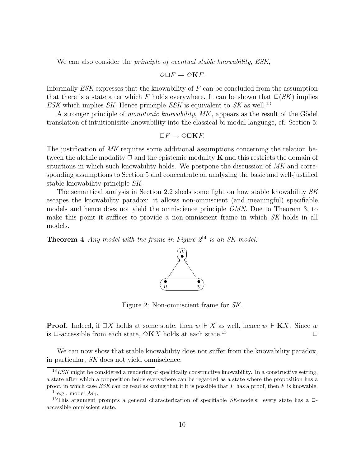We can also consider the *principle of eventual stable knowability*, *ESK*,

$$
\Diamond \Box F \to \Diamond \mathbf{K} F.
$$

Informally ESK expresses that the knowability of F can be concluded from the assumption that there is a state after which F holds everywhere. It can be shown that  $\square(SK)$  implies ESK which implies SK. Hence principle ESK is equivalent to SK as well.<sup>13</sup>

A stronger principle of *monotonic knowability, MK*, appears as the result of the Gödel translation of intuitionisitic knowability into the classical bi-modal language, cf. Section 5:

$$
\Box F \to \Diamond \Box \mathbf{K} F.
$$

The justification of MK requires some additional assumptions concerning the relation between the alethic modality  $\Box$  and the epistemic modality **K** and this restricts the domain of situations in which such knowability holds. We postpone the discussion of MK and corresponding assumptions to Section 5 and concentrate on analyzing the basic and well-justified stable knowability principle SK.

The semantical analysis in Section 2.2 sheds some light on how stable knowability SK escapes the knowability paradox: it allows non-omniscient (and meaningful) specifiable models and hence does not yield the omniscience principle OMN. Due to Theorem 3, to make this point it suffices to provide a non-omniscient frame in which SK holds in all models.

**Theorem 4** Any model with the frame in Figure  $2^{14}$  is an SK-model:



Figure 2: Non-omniscient frame for SK.

**Proof.** Indeed, if  $\Box X$  holds at some state, then  $w \Vdash X$  as well, hence  $w \Vdash K X$ . Since w is  $\Box$ -accessible from each state,  $\Diamond$ **K**X holds at each state.<sup>15</sup>

We can now show that stable knowability does not suffer from the knowability paradox, in particular, SK does not yield omniscience.

 $13 ESK$  might be considered a rendering of specifically constructive knowability. In a constructive setting, a state after which a proposition holds everywhere can be regarded as a state where the proposition has a proof, in which case  $ESK$  can be read as saying that if it is possible that  $F$  has a proof, then  $F$  is knowable.

<sup>&</sup>lt;sup>14</sup>e.g., model  $\mathcal{M}_1$ .

<sup>&</sup>lt;sup>15</sup>This argument prompts a general characterization of specifiable SK-models: every state has a  $\Box$ accessible omniscient state.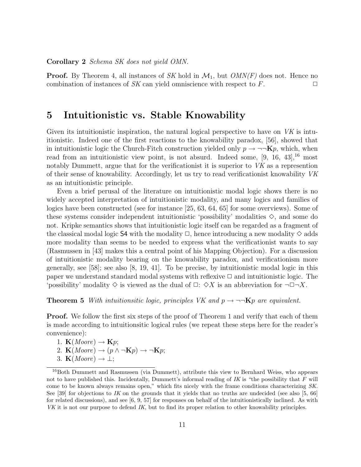Corollary 2 Schema SK does not yield OMN.

**Proof.** By Theorem 4, all instances of SK hold in  $\mathcal{M}_1$ , but  $OMN(F)$  does not. Hence no combination of instances of SK can yield omniscience with respect to  $F$ .

## 5 Intuitionistic vs. Stable Knowability

Given its intuitionistic inspiration, the natural logical perspective to have on  $VK$  is intuitionistic. Indeed one of the first reactions to the knowability paradox, [56], showed that in intuitionistic logic the Church-Fitch construction yielded only  $p \to \neg\neg Kp$ , which, when read from an intuitionistic view point, is not absurd. Indeed some,  $[9, 16, 43]$ ,<sup>16</sup> most notably Dummett, argue that for the verificationist it is superior to VK as a represention of their sense of knowability. Accordingly, let us try to read verificationist knowability VK as an intuitionistic principle.

Even a brief perusal of the literature on intuitionistic modal logic shows there is no widely accepted interpretation of intuitionistic modality, and many logics and families of logics have been constructed (see for instance [25, 63, 64, 65] for some overviews). Some of these systems consider independent intuitionistic 'possibility' modalities  $\diamond$ , and some do not. Kripke semantics shows that intuitionistic logic itself can be regarded as a fragment of the classical modal logic S4 with the modality  $\Box$ , hence introducing a new modality  $\diamondsuit$  adds more modality than seems to be needed to express what the verificationist wants to say (Rasmussen in [43] makes this a central point of his Mapping Objection). For a discussion of intuitionistic modality bearing on the knowability paradox, and verificationism more generally, see  $[58]$ ; see also  $[8, 19, 41]$ . To be precise, by intuitionistic modal logic in this paper we understand standard modal systems with reflexive  $\Box$  and intuitionistic logic. The 'possibility' modality  $\diamond$  is viewed as the dual of  $\Box: \diamond X$  is an abbreviation for  $\neg \Box \neg X$ .

**Theorem 5** With intuitionsitic logic, principles VK and  $p \rightarrow \neg\neg Kp$  are equivalent.

**Proof.** We follow the first six steps of the proof of Theorem 1 and verify that each of them is made according to intuitionsitic logical rules (we repeat these steps here for the reader's convenience):

1.  $\mathbf{K}(Moore) \rightarrow \mathbf{K}p;$ 

2. 
$$
\mathbf{K}(Moore) \rightarrow (p \land \neg \mathbf{K}p) \rightarrow \neg \mathbf{K}p;
$$

3. **K**(*Moore*)  $\rightarrow \bot$ ;

<sup>&</sup>lt;sup>16</sup>Both Dummett and Rasmussen (via Dummett), attribute this view to Bernhard Weiss, who appears not to have published this. Incidentally, Dummett's informal reading of  $IK$  is "the possibility that  $F$  will come to be known always remains open," which fits nicely with the frame conditions characterizing SK. See [39] for objections to IK on the grounds that it yields that no truths are undecided (see also [5, 66] for related discussions), and see  $[6, 9, 57]$  for responses on behalf of the intuitionistically inclined. As with VK it is not our purpose to defend IK, but to find its proper relation to other knowability principles.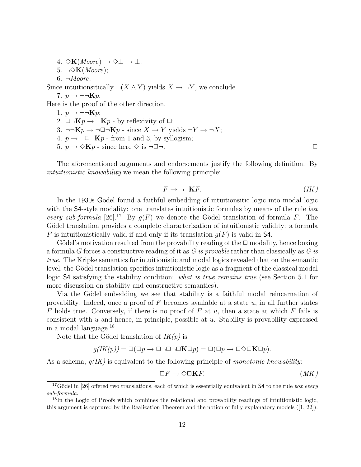4.  $\Diamond$ **K**(*Moore*)  $\rightarrow \Diamond \bot \rightarrow \bot$ ; 5.  $\neg \Diamond K(Moore);$  $6. \neg Moore.$ Since intuitionsitically  $\neg(X \wedge Y)$  yields  $X \rightarrow \neg Y$ , we conclude 7.  $p \rightarrow \neg\neg Kp$ . Here is the proof of the other direction. 1.  $p \rightarrow \neg\neg Kp$ ; 2.  $\Box\neg{\bf K}p \rightarrow \neg{\bf K}p$  - by reflexivity of  $\Box$ ; 3.  $\neg\neg {\bf K}p \rightarrow \neg \Box \neg {\bf K}p$  - since  $X \rightarrow Y$  yields  $\neg Y \rightarrow \neg X;$ 4.  $p \rightarrow \neg \Box \neg \mathbf{K} p$  - from 1 and 3, by syllogism; 5.  $p \rightarrow \Diamond \mathbf{K} p$  - since here  $\Diamond$  is  $\neg \Box \neg$ .

The aforementioned arguments and endorsements justify the following definition. By intuitionistic knowability we mean the following principle:

$$
F \to \neg\neg \mathbf{K} F. \tag{IK}
$$

In the 1930s Gödel found a faithful embedding of intuitionsitic logic into modal logic with the S4-style modality: one translates intuitionistic formulas by means of the rule  $box$ every sub-formula [26].<sup>17</sup> By  $q(F)$  we denote the Gödel translation of formula F. The Gödel translation provides a complete characterization of intuitionistic validity: a formula F is intuitionistically valid if and only if its translation  $g(F)$  is valid in S4.

Gödel's motivation resulted from the provability reading of the  $\Box$  modality, hence boxing a formula G forces a constructive reading of it as G is provable rather than classically as G is true. The Kripke semantics for intuitionistic and modal logics revealed that on the semantic level, the Gödel translation specifies intuitionistic logic as a fragment of the classical modal logic S4 satisfying the stability condition: *what is true remains true* (see Section 5.1 for more discussion on stability and constructive semantics).

Via the Gödel embedding we see that stability is a faithful modal reincarnation of provability. Indeed, once a proof of  $F$  becomes available at a state  $u$ , in all further states F holds true. Conversely, if there is no proof of F at  $u$ , then a state at which F fails is consistent with u and hence, in principle, possible at u. Stability is provability expressed in a modal language.<sup>18</sup>

Note that the Gödel translation of  $IK(p)$  is

$$
g(IK(p)) = \Box(\Box p \to \Box \neg \Box \neg \Box \mathbf{K} \Box p) = \Box(\Box p \to \Box \Diamond \Box \mathbf{K} \Box p).
$$

As a schema,  $q(K)$  is equivalent to the following principle of *monotonic knowability*:

$$
\Box F \to \Diamond \Box \mathbf{K} F. \tag{MK}
$$

<sup>&</sup>lt;sup>17</sup>Gödel in [26] offered two translations, each of which is essentially equivalent in S4 to the rule box every sub-formula.

 $18$ In the Logic of Proofs which combines the relational and provability readings of intuitionistic logic, this argument is captured by the Realization Theorem and the notion of fully explanatory models ([1, 22]).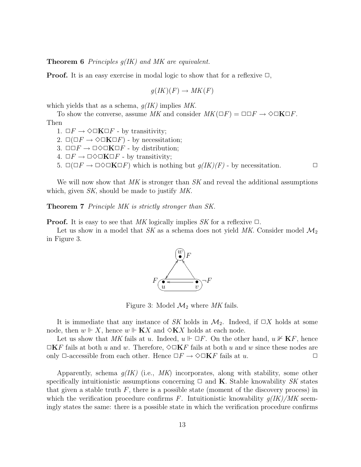**Theorem 6** Principles  $q(IK)$  and MK are equivalent.

**Proof.** It is an easy exercise in modal logic to show that for a reflexive  $\Box$ ,

$$
g(IK)(F) \to MK(F)
$$

which yields that as a schema,  $g(IK)$  implies MK.

To show the converse, assume MK and consider  $MK(\Box F) = \Box \Box F \rightarrow \Diamond \Box \mathbf{K} \Box F$ .

Then

1.  $\Box F \rightarrow \Diamond \Box \mathbf{K} \Box F$  - by transitivity;

2.  $\square(\square F \rightarrow \lozenge\square \mathbf{K} \square F)$  - by necessitation;

3.  $\Box\Box F \rightarrow \Box \Diamond \Box \mathbf{K} \Box F$  - by distribution;

4.  $\Box F \rightarrow \Box \Diamond \Box \mathbf{K} \Box F$  - by transitivity;

5.  $\square(\square F \rightarrow \square \lozenge \square \mathbf{K} \square F)$  which is nothing but  $g(IK)(F)$  - by necessitation.  $\square$ 

We will now show that  $MK$  is stronger than  $SK$  and reveal the additional assumptions which, given SK, should be made to justify MK.

Theorem 7 Principle MK is strictly stronger than SK.

**Proof.** It is easy to see that MK logically implies SK for a reflexive  $\Box$ .

Let us show in a model that SK as a schema does not yield MK. Consider model  $\mathcal{M}_2$ in Figure 3.



Figure 3: Model  $\mathcal{M}_2$  where MK fails.

It is immediate that any instance of SK holds in  $\mathcal{M}_2$ . Indeed, if  $\Box X$  holds at some node, then  $w \Vdash X$ , hence  $w \Vdash$  **K**X and  $\Diamond$ **K**X holds at each node.

Let us show that MK fails at u. Indeed,  $u \Vdash \Box F$ . On the other hand,  $u \nvDash \mathbf{K}F$ , hence  $\Box$ KF fails at both u and w. Therefore,  $\Diamond \Box$ KF fails at both u and w since these nodes are only  $\Box$ -accessible from each other. Hence  $\Box F \rightarrow \Diamond \Box \mathbf{K} F$  fails at u.  $\Box$ 

Apparently, schema  $q(K)$  (i.e., MK) incorporates, along with stability, some other specifically intuitionistic assumptions concerning  $\Box$  and **K**. Stable knowability SK states that given a stable truth  $F$ , there is a possible state (moment of the discovery process) in which the verification procedure confirms F. Intuitionistic knowability  $g(IK)/MK$  seemingly states the same: there is a possible state in which the verification procedure confirms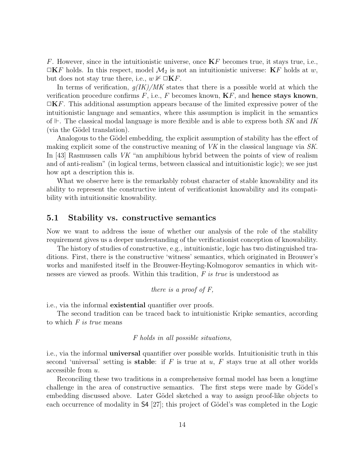F. However, since in the intuitionistic universe, once  $KF$  becomes true, it stays true, i.e.,  $\Box$ KF holds. In this respect, model  $\mathcal{M}_2$  is not an intuitionistic universe: KF holds at w, but does not stay true there, i.e.,  $w \not\vdash \Box \mathbf{K} F$ .

In terms of verification,  $g(IK)/MK$  states that there is a possible world at which the verification procedure confirms  $F$ , i.e.,  $F$  becomes known,  $KF$ , and **hence stays known**,  $\Box$ KF. This additional assumption appears because of the limited expressive power of the intuitionistic language and semantics, where this assumption is implicit in the semantics of  $\mathbb{F}$ . The classical modal language is more flexible and is able to express both SK and IK (via the Gödel translation).

Analogous to the Gödel embedding, the explicit assumption of stability has the effect of making explicit some of the constructive meaning of VK in the classical language via SK. In [43] Rasmussen calls VK "an amphibious hybrid between the points of view of realism and of anti-realism" (in logical terms, between classical and intuitionistic logic); we see just how apt a description this is.

What we observe here is the remarkably robust character of stable knowability and its ability to represent the constructive intent of verificationist knowability and its compatibility with intuitionsitic knowability.

### 5.1 Stability vs. constructive semantics

Now we want to address the issue of whether our analysis of the role of the stability requirement gives us a deeper understanding of the verificationist conception of knowability.

The history of studies of constructive, e.g., intuitionistic, logic has two distinguished traditions. First, there is the constructive 'witness' semantics, which originated in Brouwer's works and manifested itself in the Brouwer-Heyting-Kolmogorov semantics in which witnesses are viewed as proofs. Within this tradition, F is true is understood as

there is a proof of 
$$
F
$$
,

i.e., via the informal existential quantifier over proofs.

The second tradition can be traced back to intuitionistic Kripke semantics, according to which  $F$  is true means

#### F holds in all possible situations,

i.e., via the informal universal quantifier over possible worlds. Intuitionisitic truth in this second 'universal' setting is **stable**: if F is true at u, F stays true at all other worlds accessible from u.

Reconciling these two traditions in a comprehensive formal model has been a longtime challenge in the area of constructive semantics. The first steps were made by Gödel's embedding discussed above. Later Gödel sketched a way to assign proof-like objects to each occurrence of modality in  $\mathsf{S4}$  [27]; this project of Gödel's was completed in the Logic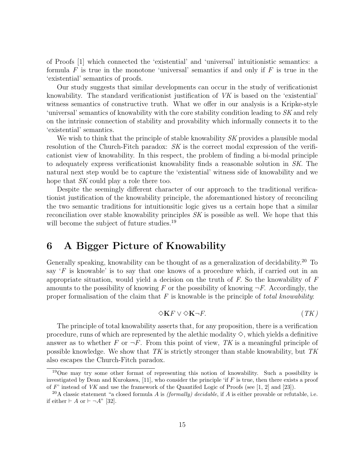of Proofs [1] which connected the 'existential' and 'universal' intuitionistic semantics: a formula F is true in the monotone 'universal' semantics if and only if F is true in the 'existential' semantics of proofs.

Our study suggests that similar developments can occur in the study of verificationist knowability. The standard verificationist justification of VK is based on the 'existential' witness semantics of constructive truth. What we offer in our analysis is a Kripke-style 'universal' semantics of knowability with the core stability condition leading to SK and rely on the intrinsic connection of stability and provability which informally connects it to the 'existential' semantics.

We wish to think that the principle of stable knowability SK provides a plausible modal resolution of the Church-Fitch paradox: SK is the correct modal expression of the verificationist view of knowability. In this respect, the problem of finding a bi-modal principle to adequately express verificationist knowability finds a reasonable solution in SK. The natural next step would be to capture the 'existential' witness side of knowability and we hope that SK could play a role there too.

Despite the seemingly different character of our approach to the traditional verificationist justification of the knowability principle, the aforemantioned history of reconciling the two semantic traditions for intuitionsitic logic gives us a certain hope that a similar reconciliation over stable knowability principles SK is possible as well. We hope that this will become the subject of future studies.<sup>19</sup>

## 6 A Bigger Picture of Knowability

Generally speaking, knowability can be thought of as a generalization of decidability.<sup>20</sup> To say  $F$  is knowable' is to say that one knows of a procedure which, if carried out in an appropriate situation, would yield a decision on the truth of  $F$ . So the knowability of  $F$ amounts to the possibility of knowing F or the possibility of knowing  $\neg F$ . Accordingly, the proper formalisation of the claim that  $F$  is knowable is the principle of *total knowability*:

$$
\diamondsuit \mathbf{K} F \vee \diamondsuit \mathbf{K} \neg F. \tag{TK}
$$

The principle of total knowability asserts that, for any proposition, there is a verification procedure, runs of which are represented by the alethic modality  $\diamond$ , which yields a definitive answer as to whether F or  $\neg F$ . From this point of view, TK is a meaningful principle of possible knowledge. We show that  $TK$  is strictly stronger than stable knowability, but  $TK$ also escapes the Church-Fitch paradox.

<sup>&</sup>lt;sup>19</sup>One may try some other format of representing this notion of knowability. Such a possibility is investigated by Dean and Kurokawa, [11], who consider the principle 'if  $F$  is true, then there exists a proof of F' instead of VK and use the framework of the Quantifed Logic of Proofs (see  $[1, 2]$  and  $[23]$ ).

<sup>&</sup>lt;sup>20</sup>A classic statement "a closed formula A is *(formally) decidable*, if A is either provable or refutable, i.e. if either  $\vdash A$  or  $\vdash \neg A"$  [32].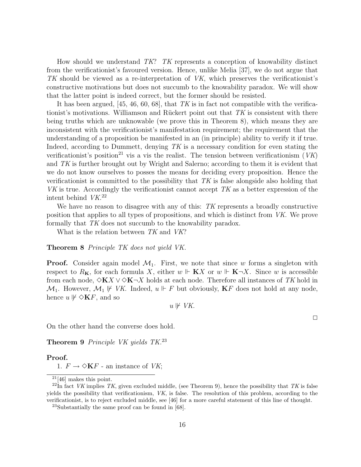How should we understand TK? TK represents a conception of knowability distinct from the verificationist's favoured version. Hence, unlike Melia [37], we do not argue that TK should be viewed as a re-interpretation of VK, which preserves the verificationist's constructive motivations but does not succumb to the knowability paradox. We will show that the latter point is indeed correct, but the former should be resisted.

It has been argued, [45, 46, 60, 68], that TK is in fact not compatible with the verificationist's motivations. Williamson and Rückert point out that  $TK$  is consistent with there being truths which are unknowable (we prove this in Theorem 8), which means they are inconsistent with the verificationist's manifestation requirement; the requirement that the understanding of a proposition be manifested in an (in principle) ability to verify it if true. Indeed, according to Dummett, denying  $TK$  is a necessary condition for even stating the verificationist's position<sup>21</sup> vis a vis the realist. The tension between verificationism  $(VK)$ and TK is further brought out by Wright and Salerno; according to them it is evident that we do not know ourselves to posses the means for deciding every proposition. Hence the verificationist is committed to the possibility that TK is false alongside also holding that  $VK$  is true. Accordingly the verificationist cannot accept  $TK$  as a better expression of the intent behind VK. 22

We have no reason to disagree with any of this: TK represents a broadly constructive position that applies to all types of propositions, and which is distinct from VK. We prove formally that TK does not succumb to the knowability paradox.

What is the relation between TK and VK?

#### Theorem 8 Principle TK does not yield VK.

**Proof.** Consider again model  $\mathcal{M}_1$ . First, we note that since w forms a singleton with respect to  $R_K$ , for each formula X, either  $w \Vdash K X$  or  $w \Vdash K \neg X$ . Since w is accessible from each node,  $\Diamond$ **K**X  $\lor$   $\Diamond$ **K** $\neg$ X holds at each node. Therefore all instances of TK hold in  $\mathcal{M}_1$ . However,  $\mathcal{M}_1 \not\Vdash V\mathcal{K}$ . Indeed,  $u \Vdash F$  but obviously, **K**F does not hold at any node, hence  $u \not\Vdash \Diamond K F$ , and so

 $u \not\Vdash VK.$ 

On the other hand the converse does hold.

Theorem 9 Principle VK yields TK.<sup>23</sup>

#### Proof.

1.  $F \to \Diamond K F$  - an instance of *VK*;

<sup>23</sup>Substantially the same proof can be found in [68].

 $\Box$ 

 $21[46]$  makes this point.

 $^{22}$ In fact VK implies TK, given excluded middle, (see Theorem 9), hence the possibility that TK is false yields the possibility that verificationism, VK, is false. The resolution of this problem, according to the verificationist, is to reject excluded middle, see [46] for a more careful statement of this line of thought.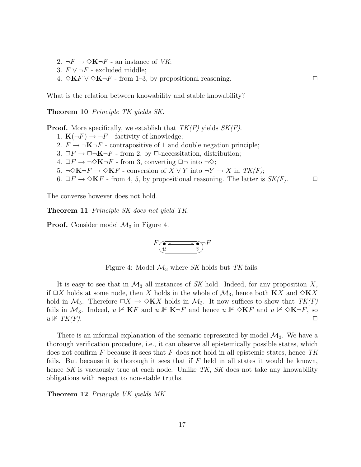- 2.  $\neg F \rightarrow \Diamond K \neg F$  an instance of *VK*;
- 3.  $F ∨ \neg F$  excluded middle;
- 4.  $\Diamond$ **K**F ∨  $\Diamond$ **K** $\neg$  from 1–3, by propositional reasoning.  $\Box$

What is the relation between knowability and stable knowability?

Theorem 10 Principle TK yields SK.

**Proof.** More specifically, we establish that  $TK(F)$  yields  $SK(F)$ .

- 1.  $\mathbf{K}(\neg F) \rightarrow \neg F$  factivity of knowledge;
- 2.  $F \to \neg \mathbf{K} \neg F$  contrapositive of 1 and double negation principle;
- 3.  $\Box F \to \Box \neg \mathbf{K} \neg F$  from 2, by  $\Box$ -necessitation, distribution;
- 4.  $\Box F \rightarrow \neg \Diamond K \neg F$  from 3, converting  $\Box \neg$  into  $\neg \Diamond;$
- 5. ¬◇K¬ $F \rightarrow \Diamond KF$  conversion of  $X \vee Y$  into  $\neg Y \rightarrow X$  in  $TK(F)$ ;
- 6.  $\Box F \to \Diamond \mathbf{K} F$  from 4, 5, by propositional reasoning. The latter is  $SK(F)$ .

The converse however does not hold.

Theorem 11 Principle SK does not yield TK.

**Proof.** Consider model  $\mathcal{M}_3$  in Figure 4.

$$
F\left(\underbrace{ \bullet \longleftrightarrow \bullet}_{v}\right)^{\mathbb{F}}
$$

Figure 4: Model  $\mathcal{M}_3$  where SK holds but TK fails.

It is easy to see that in  $\mathcal{M}_3$  all instances of SK hold. Indeed, for any proposition X, if  $\Box X$  holds at some node, then X holds in the whole of  $\mathcal{M}_3$ , hence both **K**X and  $\Diamond$ **K**X hold in  $\mathcal{M}_3$ . Therefore  $\Box X \to \Diamond \mathbf{K} X$  holds in  $\mathcal{M}_3$ . It now suffices to show that  $TK(F)$ fails in  $\mathcal{M}_3$ . Indeed,  $u \not\vdash KF$  and  $u \not\vdash K\neg F$  and hence  $u \not\vdash \Diamond KF$  and  $u \not\vdash \Diamond K\neg F$ , so  $u \nVdash TK(F).$ 

There is an informal explanation of the scenario represented by model  $\mathcal{M}_3$ . We have a thorough verification procedure, i.e., it can observe all epistemically possible states, which does not confirm  $F$  because it sees that  $F$  does not hold in all epistemic states, hence TK fails. But because it is thorough it sees that if  $F$  held in all states it would be known, hence SK is vacuously true at each node. Unlike TK, SK does not take any knowability obligations with respect to non-stable truths.

Theorem 12 *Principle VK yields MK*.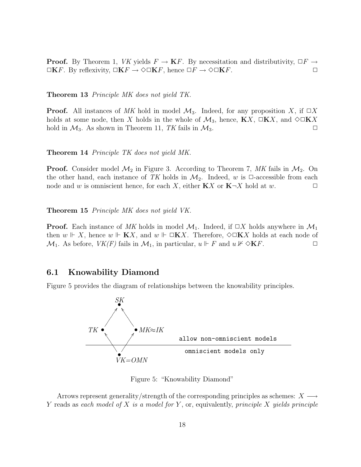**Proof.** By Theorem 1, VK yields  $F \to \mathbf{K}F$ . By necessitation and distributivity,  $\Box F \to$  $\Box$ KF. By reflexivity,  $\Box$ KF  $\rightarrow$   $\Diamond$  $\Box$ KF, hence  $\Box$ F  $\rightarrow$   $\Diamond$  $\Box$ KF.  $\Box$ 

Theorem 13 Principle MK does not yield TK.

**Proof.** All instances of MK hold in model  $\mathcal{M}_3$ . Indeed, for any proposition X, if  $\Box X$ holds at some node, then X holds in the whole of  $\mathcal{M}_3$ , hence,  $\mathbf{K}X$ ,  $\square\mathbf{K}X$ , and  $\diamondsuit\square\mathbf{K}X$ hold in  $\mathcal{M}_3$ . As shown in Theorem 11, TK fails in  $\mathcal{M}_3$ .

Theorem 14 Principle TK does not yield MK.

**Proof.** Consider model  $\mathcal{M}_2$  in Figure 3. According to Theorem 7, MK fails in  $\mathcal{M}_2$ . On the other hand, each instance of TK holds in  $\mathcal{M}_2$ . Indeed, w is  $\Box$ -accessible from each node and w is omniscient hence, for each X, either **K**X or **K** $\neg$ X hold at w.

Theorem 15 Principle MK does not yield VK.

**Proof.** Each instance of MK holds in model  $\mathcal{M}_1$ . Indeed, if  $\Box X$  holds anywhere in  $\mathcal{M}_1$ . then  $w \Vdash X$ , hence  $w \Vdash KX$ , and  $w \Vdash \Box KX$ . Therefore,  $\diamond \Box KX$  holds at each node of  $\mathcal{M}_1$ . As before,  $VK(F)$  fails in  $\mathcal{M}_1$ , in particular,  $u \Vdash F$  and  $u \nvDash \Diamond \mathbf{K}F$ .

### 6.1 Knowability Diamond

Figure 5 provides the diagram of relationships between the knowability principles.



Figure 5: "Knowability Diamond"

Arrows represent generality/strength of the corresponding principles as schemes:  $X \longrightarrow$ Y reads as each model of X is a model for Y, or, equivalently, principle X yields principle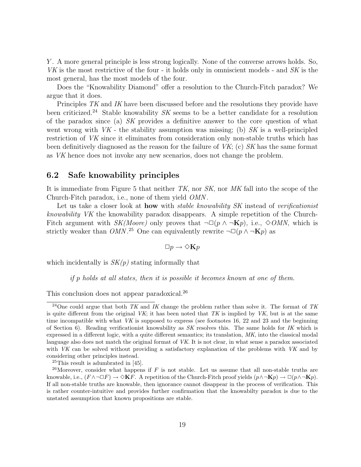Y . A more general principle is less strong logically. None of the converse arrows holds. So, VK is the most restrictive of the four - it holds only in omniscient models - and SK is the most general, has the most models of the four.

Does the "Knowability Diamond" offer a resolution to the Church-Fitch paradox? We argue that it does.

Principles TK and IK have been discussed before and the resolutions they provide have been criticized.<sup>24</sup> Stable knowability  $SK$  seems to be a better candidate for a resolution of the paradox since (a) SK provides a definitive answer to the core question of what went wrong with  $VK$  - the stability assumption was missing; (b) SK is a well-principled restriction of VK since it eliminates from consideration only non-stable truths which has been definitively diagnosed as the reason for the failure of  $VK$ ; (c) SK has the same format as VK hence does not invoke any new scenarios, does not change the problem.

### 6.2 Safe knowability principles

It is immediate from Figure 5 that neither  $TK$ , nor  $SK$ , nor  $MK$  fall into the scope of the Church-Fitch paradox, i.e., none of them yield OMN .

Let us take a closer look at **how** with *stable knowability SK* instead of *verificationist* knowability VK the knowability paradox disappears. A simple repetition of the Church-Fitch argument with  $SK(Moore)$  only proves that  $\neg\Box(p \land \neg \mathbf{K}p)$ , i.e.,  $\diamond$  OMN, which is strictly weaker than  $OMN$ <sup>25</sup> One can equivalently rewrite  $\neg\Box(p \land \neg \mathbf{K}p)$  as

$$
\Box p \to \Diamond \mathbf{K} p
$$

which incidentally is  $SK(p)$  stating informally that

if p holds at all states, then it is possible it becomes known at one of them.

This conclusion does not appear paradoxical.<sup>26</sup>

<sup>&</sup>lt;sup>24</sup>One could argue that both TK and IK change the problem rather than solve it. The format of TK is quite different from the original  $VK$ ; it has been noted that TK is implied by  $VK$ , but is at the same time incompatible with what  $VK$  is supposed to express (see footnotes 16, 22 and 23 and the beginning of Section 6). Reading verificationist knowability as SK resolves this. The same holds for IK which is expressed in a different logic, with a quite different semantics; its translation, MK, into the classical modal language also does not match the original format of VK. It is not clear, in what sense a paradox associated with VK can be solved without providing a satisfactory explanation of the problems with VK and by considering other principles instead.

 $25$ This result is adumbrated in [45].

<sup>&</sup>lt;sup>26</sup>Moreover, consider what happens if  $F$  is not stable. Let us assume that all non-stable truths are knowable, i.e.,  $(F \wedge \neg \Box F) \rightarrow \Diamond \mathbf{K} F$ . A repetition of the Church-Fitch proof yields  $(p \wedge \neg \mathbf{K} p) \rightarrow \Box (p \wedge \neg \mathbf{K} p)$ . If all non-stable truths are knowable, then ignorance cannot disappear in the process of verification. This is rather counter-intuitive and provides further confirmation that the knowabilty paradox is due to the unstated assumption that known propositions are stable.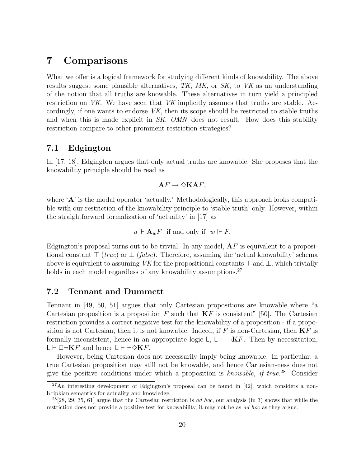## 7 Comparisons

What we offer is a logical framework for studying different kinds of knowability. The above results suggest some plausible alternatives, TK, MK, or SK, to VK as an understanding of the notion that all truths are knowable. These alternatives in turn yield a principled restriction on VK. We have seen that VK implicitly assumes that truths are stable. Accordingly, if one wants to endorse VK, then its scope should be restricted to stable truths and when this is made explicit in SK, OMN does not result. How does this stability restriction compare to other prominent restriction strategies?

### 7.1 Edgington

In [17, 18], Edgington argues that only actual truths are knowable. She proposes that the knowability principle should be read as

$$
\mathbf{A} F \to \Diamond \mathbf{K} \mathbf{A} F,
$$

where 'A' is the modal operator 'actually.' Methodologically, this approach looks compatible with our restriction of the knowability principle to 'stable truth' only. However, within the straightforward formalization of 'actuality' in [17] as

$$
u \Vdash \mathbf{A}_w F \text{ if and only if } w \Vdash F,
$$

Edgington's proposal turns out to be trivial. In any model,  $AF$  is equivalent to a propositional constant  $\top$  (true) or  $\bot$  (false). Therefore, assuming the 'actual knowability' schema above is equivalent to assuming VK for the propositional constants  $\top$  and  $\bot$ , which trivially holds in each model regardless of any knowability assumptions.<sup>27</sup>

### 7.2 Tennant and Dummett

Tennant in [49, 50, 51] argues that only Cartesian propositions are knowable where "a Cartesian proposition is a proposition F such that  $KF$  is consistent" [50]. The Cartesian restriction provides a correct negative test for the knowability of a proposition - if a proposition is not Cartesian, then it is not knowable. Indeed, if  $F$  is non-Cartesian, then  $KF$  is formally inconsistent, hence in an appropriate logic  $\mathsf{L}$ ,  $\mathsf{L} \vdash \neg \mathbf{K} F$ . Then by necessitation,  $L \vdash \Box \neg \mathbf{K} F$  and hence  $L \vdash \neg \Diamond \mathbf{K} F$ .

However, being Cartesian does not necessarily imply being knowable. In particular, a true Cartesian proposition may still not be knowable, and hence Cartesian-ness does not give the positive conditions under which a proposition is knowable, if true.<sup>28</sup> Consider

 $27$ An interesting development of Edgington's proposal can be found in [42], which considers a non-Kripkian semantics for actuality and knowledge.

 $^{28}[28, 29, 35, 61]$  argue that the Cartesian restriction is *ad hoc*, our analysis (in 3) shows that while the restriction does not provide a positive test for knowability, it may not be as ad hoc as they argue.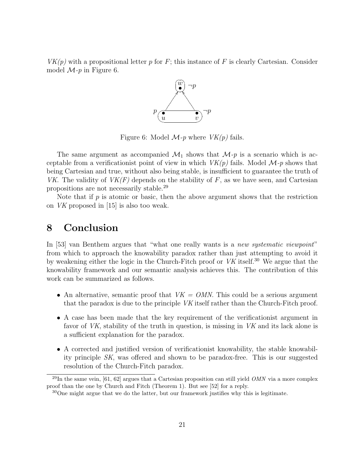$VK(p)$  with a propositional letter p for F; this instance of F is clearly Cartesian. Consider model  $\mathcal{M}_{P}$  in Figure 6.



Figure 6: Model  $\mathcal{M}_{P}$  where  $VK(p)$  fails.

The same argument as accompanied  $\mathcal{M}_1$  shows that  $\mathcal{M}_2$  is a scenario which is acceptable from a verificationist point of view in which  $VK(p)$  fails. Model  $\mathcal{M}_p$  shows that being Cartesian and true, without also being stable, is insufficient to guarantee the truth of VK. The validity of  $VK(F)$  depends on the stability of F, as we have seen, and Cartesian propositions are not necessarily stable.<sup>29</sup>

Note that if  $p$  is atomic or basic, then the above argument shows that the restriction on VK proposed in [15] is also too weak.

## 8 Conclusion

In [53] van Benthem argues that "what one really wants is a new systematic viewpoint" from which to approach the knowability paradox rather than just attempting to avoid it by weakening either the logic in the Church-Fitch proof or VK itself.<sup>30</sup> We argue that the knowability framework and our semantic analysis achieves this. The contribution of this work can be summarized as follows.

- An alternative, semantic proof that  $VK = OMN$ . This could be a serious argument that the paradox is due to the principle VK itself rather than the Church-Fitch proof.
- A case has been made that the key requirement of the verificationist argument in favor of VK, stability of the truth in question, is missing in VK and its lack alone is a sufficient explanation for the paradox.
- A corrected and justified version of verificationist knowability, the stable knowability principle SK, was offered and shown to be paradox-free. This is our suggested resolution of the Church-Fitch paradox.

 $^{29}$ In the same vein, [61, 62] argues that a Cartesian proposition can still yield *OMN* via a more complex proof than the one by Church and Fitch (Theorem 1). But see [52] for a reply.

<sup>30</sup>One might argue that we do the latter, but our framework justifies why this is legitimate.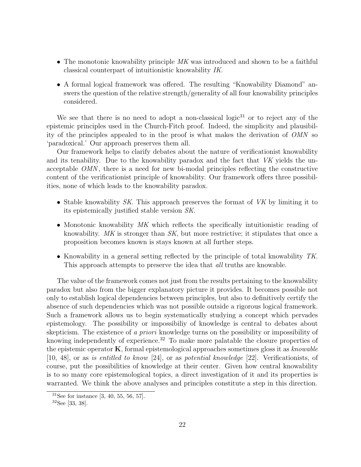- The monotonic knowability principle  $MK$  was introduced and shown to be a faithful classical counterpart of intuitionistic knowability IK.
- A formal logical framework was offered. The resulting "Knowability Diamond" answers the question of the relative strength/generality of all four knowability principles considered.

We see that there is no need to adopt a non-classical logic<sup>31</sup> or to reject any of the epistemic principles used in the Church-Fitch proof. Indeed, the simplicity and plausibility of the principles appealed to in the proof is what makes the derivation of OMN so 'paradoxical.' Our approach preserves them all.

Our framework helps to clarify debates about the nature of verificationist knowability and its tenability. Due to the knowability paradox and the fact that VK yields the unacceptable OMN , there is a need for new bi-modal principles reflecting the constructive content of the verificationist principle of knowability. Our framework offers three possibilities, none of which leads to the knowability paradox.

- Stable knowability SK. This approach preserves the format of VK by limiting it to its epistemically justified stable version SK.
- Monotonic knowability MK which reflects the specifically intuitionistic reading of knowability. MK is stronger than SK, but more restrictive; it stipulates that once a proposition becomes known is stays known at all further steps.
- Knowability in a general setting reflected by the principle of total knowability TK. This approach attempts to preserve the idea that *all* truths are knowable.

The value of the framework comes not just from the results pertaining to the knowability paradox but also from the bigger explanatory picture it provides. It becomes possible not only to establish logical dependencies between principles, but also to definitively certify the absence of such dependencies which was not possible outside a rigorous logical framework. Such a framework allows us to begin systematically studying a concept which pervades epistemology. The possibility or impossibiliy of knowledge is central to debates about skepticism. The existence of a priori knowledge turns on the possibility or impossibility of knowing independently of experience.<sup>32</sup> To make more palatable the closure properties of the epistemic operator  $\bf{K}$ , formal epistemological approaches sometimes gloss it as knowable [10, 48], or as is entitled to know [24], or as potential knowledge [22]. Verificationists, of course, put the possibilities of knowledge at their center. Given how central knowability is to so many core epistemological topics, a direct investigation of it and its properties is warranted. We think the above analyses and principles constitute a step in this direction.

 $31$ See for instance [3, 40, 55, 56, 57].

<sup>32</sup>See [33, 38].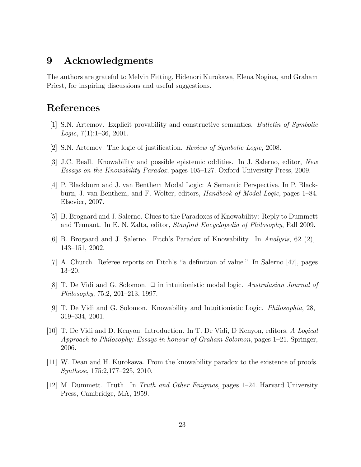## 9 Acknowledgments

The authors are grateful to Melvin Fitting, Hidenori Kurokawa, Elena Nogina, and Graham Priest, for inspiring discussions and useful suggestions.

# References

- [1] S.N. Artemov. Explicit provability and constructive semantics. Bulletin of Symbolic *Logic*,  $7(1):1-36$ ,  $2001$ .
- [2] S.N. Artemov. The logic of justification. Review of Symbolic Logic, 2008.
- [3] J.C. Beall. Knowability and possible epistemic oddities. In J. Salerno, editor, New Essays on the Knowability Paradox, pages 105–127. Oxford University Press, 2009.
- [4] P. Blackburn and J. van Benthem Modal Logic: A Semantic Perspective. In P. Blackburn, J. van Benthem, and F. Wolter, editors, Handbook of Modal Logic, pages 1–84. Elsevier, 2007.
- [5] B. Brogaard and J. Salerno. Clues to the Paradoxes of Knowability: Reply to Dummett and Tennant. In E. N. Zalta, editor, Stanford Encyclopedia of Philosophy, Fall 2009.
- [6] B. Brogaard and J. Salerno. Fitch's Paradox of Knowability. In Analysis, 62 (2), 143–151, 2002.
- [7] A. Church. Referee reports on Fitch's "a definition of value." In Salerno [47], pages 13–20.
- [8] T. De Vidi and G. Solomon.  $\Box$  in intuitionistic modal logic. Australasian Journal of Philosophy, 75:2, 201–213, 1997.
- [9] T. De Vidi and G. Solomon. Knowability and Intuitionistic Logic. Philosophia, 28, 319–334, 2001.
- [10] T. De Vidi and D. Kenyon. Introduction. In T. De Vidi, D Kenyon, editors, A Logical Approach to Philosophy: Essays in honour of Graham Solomon, pages 1–21. Springer, 2006.
- [11] W. Dean and H. Kurokawa. From the knowability paradox to the existence of proofs. Synthese, 175:2,177–225, 2010.
- [12] M. Dummett. Truth. In Truth and Other Enigmas, pages 1–24. Harvard University Press, Cambridge, MA, 1959.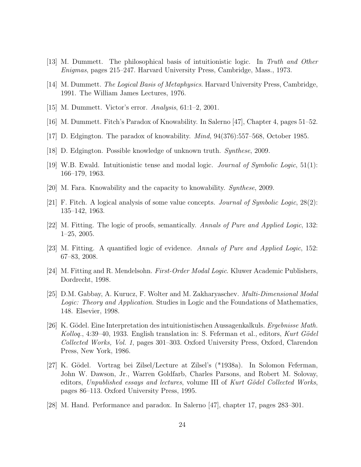- [13] M. Dummett. The philosophical basis of intuitionistic logic. In Truth and Other Enigmas, pages 215–247. Harvard University Press, Cambridge, Mass., 1973.
- [14] M. Dummett. The Logical Basis of Metaphysics. Harvard University Press, Cambridge, 1991. The William James Lectures, 1976.
- [15] M. Dummett. Victor's error. Analysis, 61:1–2, 2001.
- [16] M. Dummett. Fitch's Paradox of Knowability. In Salerno [47], Chapter 4, pages 51–52.
- [17] D. Edgington. The paradox of knowability. Mind, 94(376):557–568, October 1985.
- [18] D. Edgington. Possible knowledge of unknown truth. Synthese, 2009.
- [19] W.B. Ewald. Intuitionistic tense and modal logic. Journal of Symbolic Logic, 51(1): 166–179, 1963.
- [20] M. Fara. Knowability and the capacity to knowability. Synthese, 2009.
- [21] F. Fitch. A logical analysis of some value concepts. Journal of Symbolic Logic, 28(2): 135–142, 1963.
- [22] M. Fitting. The logic of proofs, semantically. Annals of Pure and Applied Logic, 132: 1–25, 2005.
- [23] M. Fitting. A quantified logic of evidence. Annals of Pure and Applied Logic, 152: 67–83, 2008.
- [24] M. Fitting and R. Mendelsohn. First-Order Modal Logic. Kluwer Academic Publishers, Dordrecht, 1998.
- [25] D.M. Gabbay, A. Kurucz, F. Wolter and M. Zakharyaschev. Multi-Dimensional Modal Logic: Theory and Application. Studies in Logic and the Foundations of Mathematics, 148. Elsevier, 1998.
- [26] K. Gödel. Eine Interpretation des intuitionistischen Aussagenkalkuls. Ergebnisse Math. Kolloq., 4:39–40, 1933. English translation in: S. Feferman et al., editors, Kurt Gödel Collected Works, Vol. 1, pages 301–303. Oxford University Press, Oxford, Clarendon Press, New York, 1986.
- [27] K. G¨odel. Vortrag bei Zilsel/Lecture at Zilsel's (\*1938a). In Solomon Feferman, John W. Dawson, Jr., Warren Goldfarb, Charles Parsons, and Robert M. Solovay, editors, Unpublished essays and lectures, volume III of Kurt Gödel Collected Works, pages 86–113. Oxford University Press, 1995.
- [28] M. Hand. Performance and paradox. In Salerno [47], chapter 17, pages 283–301.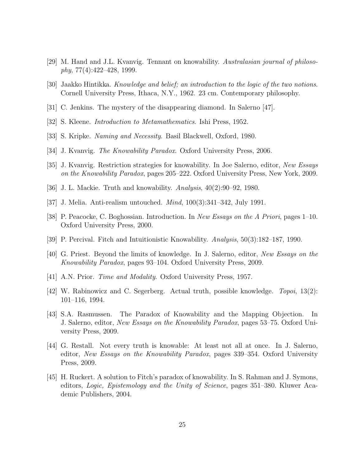- [29] M. Hand and J.L. Kvanvig. Tennant on knowability. Australasian journal of philoso $phy, 77(4):422–428, 1999.$
- [30] Jaakko Hintikka. Knowledge and belief; an introduction to the logic of the two notions. Cornell University Press, Ithaca, N.Y., 1962. 23 cm. Contemporary philosophy.
- [31] C. Jenkins. The mystery of the disappearing diamond. In Salerno [47].
- [32] S. Kleene. Introduction to Metamathematics. Ishi Press, 1952.
- [33] S. Kripke. Naming and Necessity. Basil Blackwell, Oxford, 1980.
- [34] J. Kvanvig. The Knowability Paradox. Oxford University Press, 2006.
- [35] J. Kvanvig. Restriction strategies for knowability. In Joe Salerno, editor, New Essays on the Knowability Paradox, pages 205–222. Oxford University Press, New York, 2009.
- [36] J. L. Mackie. Truth and knowability. Analysis, 40(2):90–92, 1980.
- [37] J. Melia. Anti-realism untouched. Mind, 100(3):341–342, July 1991.
- [38] P. Peacocke, C. Boghossian. Introduction. In New Essays on the A Priori, pages 1–10. Oxford University Press, 2000.
- [39] P. Percival. Fitch and Intuitionistic Knowability. Analysis, 50(3):182–187, 1990.
- [40] G. Priest. Beyond the limits of knowledge. In J. Salerno, editor, New Essays on the Knowability Paradox, pages 93–104. Oxford University Press, 2009.
- [41] A.N. Prior. *Time and Modality*. Oxford University Press, 1957.
- [42] W. Rabinowicz and C. Segerberg. Actual truth, possible knowledge. *Topoi*, 13(2): 101–116, 1994.
- [43] S.A. Rasmussen. The Paradox of Knowability and the Mapping Objection. In J. Salerno, editor, New Essays on the Knowability Paradox, pages 53–75. Oxford University Press, 2009.
- [44] G. Restall. Not every truth is knowable: At least not all at once. In J. Salerno, editor, New Essays on the Knowability Paradox, pages 339–354. Oxford University Press, 2009.
- [45] H. Ruckert. A solution to Fitch's paradox of knowability. In S. Rahman and J. Symons, editors, Logic, Epistemology and the Unity of Science, pages 351–380. Kluwer Academic Publishers, 2004.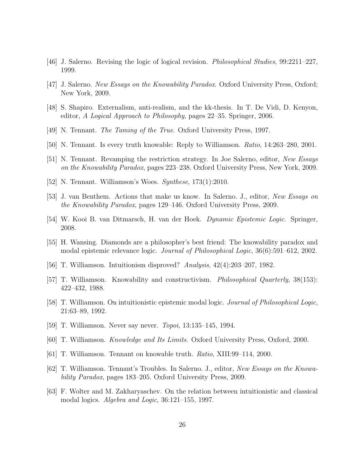- [46] J. Salerno. Revising the logic of logical revision. Philosophical Studies, 99:2211–227, 1999.
- [47] J. Salerno. New Essays on the Knowability Paradox. Oxford University Press, Oxford; New York, 2009.
- [48] S. Shapiro. Externalism, anti-realism, and the kk-thesis. In T. De Vidi, D. Kenyon, editor, A Logical Approach to Philosophy, pages 22–35. Springer, 2006.
- [49] N. Tennant. The Taming of the True. Oxford University Press, 1997.
- [50] N. Tennant. Is every truth knowable: Reply to Williamson. Ratio, 14:263–280, 2001.
- [51] N. Tennant. Revamping the restriction strategy. In Joe Salerno, editor, New Essays on the Knowability Paradox, pages 223–238. Oxford University Press, New York, 2009.
- [52] N. Tennant. Williamson's Woes. Synthese, 173(1):2010.
- [53] J. van Benthem. Actions that make us know. In Salerno. J., editor, New Essays on the Knowability Paradox, pages 129–146. Oxford University Press, 2009.
- [54] W. Kooi B. van Ditmarsch, H. van der Hoek. Dynamic Epistemic Logic. Springer, 2008.
- [55] H. Wansing. Diamonds are a philosopher's best friend: The knowability paradox and modal epistemic relevance logic. Journal of Philosophical Logic, 36(6):591–612, 2002.
- [56] T. Williamson. Intuitionism disproved? Analysis, 42(4):203–207, 1982.
- [57] T. Williamson. Knowability and constructivism. Philosophical Quarterly, 38(153): 422–432, 1988.
- [58] T. Williamson. On intuitionistic epistemic modal logic. Journal of Philosophical Logic, 21:63–89, 1992.
- [59] T. Williamson. Never say never. Topoi, 13:135–145, 1994.
- [60] T. Williamson. Knowledge and Its Limits. Oxford University Press, Oxford, 2000.
- [61] T. Williamson. Tennant on knowable truth. Ratio, XIII:99–114, 2000.
- [62] T. Williamson. Tennant's Troubles. In Salerno. J., editor, New Essays on the Knowability Paradox, pages 183–205. Oxford University Press, 2009.
- [63] F. Wolter and M. Zakharyaschev. On the relation between intuitionistic and classical modal logics. Algebra and Logic, 36:121–155, 1997.